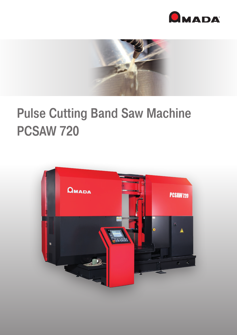



## Pulse Cutting Band Saw Machine PCSAW 720